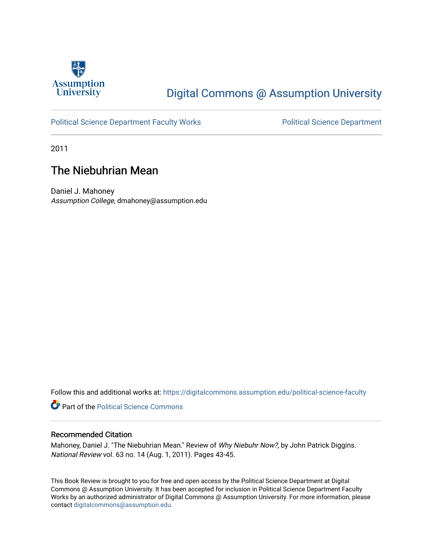

## [Digital Commons @ Assumption University](https://digitalcommons.assumption.edu/)

### [Political Science Department Faculty Works](https://digitalcommons.assumption.edu/political-science-faculty) **Political Science Department**

2011

### The Niebuhrian Mean

Daniel J. Mahoney Assumption College, dmahoney@assumption.edu

Follow this and additional works at: [https://digitalcommons.assumption.edu/political-science-faculty](https://digitalcommons.assumption.edu/political-science-faculty?utm_source=digitalcommons.assumption.edu%2Fpolitical-science-faculty%2F5&utm_medium=PDF&utm_campaign=PDFCoverPages)

**Part of the Political Science Commons** 

### Recommended Citation

Mahoney, Daniel J. "The Niebuhrian Mean." Review of Why Niebuhr Now?, by John Patrick Diggins. National Review vol. 63 no. 14 (Aug. 1, 2011). Pages 43-45.

This Book Review is brought to you for free and open access by the Political Science Department at Digital Commons @ Assumption University. It has been accepted for inclusion in Political Science Department Faculty Works by an authorized administrator of Digital Commons @ Assumption University. For more information, please contact [digitalcommons@assumption.edu.](mailto:digitalcommons@assumption.edu)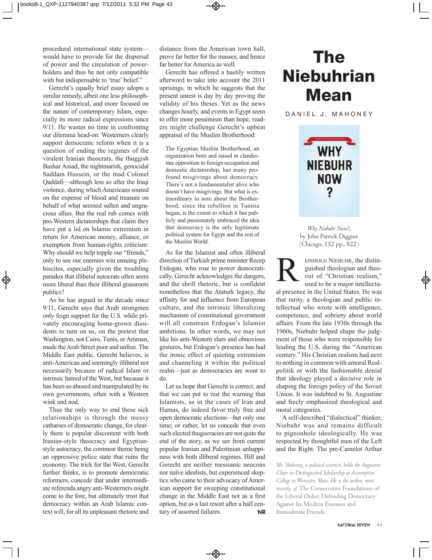procedural international state system would have to provide for the dispersal of power and the circulation of powerholders and thus be not only compatible with but indispensable to 'true' belief."

Gerecht's equally brief essay adopts a similar remedy, albeit one less philosophical and historical, and more focused on the nature of contemporary islam, especially its more radical expressions since 9/11. he wastes no time in confronting our dilemma head-on: Westerners clearly support democratic reform when it is a question of ending the regimes of the virulent Iranian theocrats, the thuggish bashar Assad, the nightmarish, genocidal Saddam Hussein, or the mad Colonel Qaddafi—although less so after the iraqi violence, during which Americans soured on the expense of blood and treasure on behalf of what seemed sullen and ungracious allies. but the real rub comes with pro-Western dictatorships that claim they have put a lid on islamic extremism in return for American money, alliance, or exemption from human-rights criticism: Why should we help topple our "friends," only to see our enemies win ensuing ple biscites, especially given the troubling paradox that illiberal autocrats often seem more liberal than their illiberal grassroots publics?

As he has argued in the decade since 9/11, Gerecht says that Arab strongmen only feign support for the U.S. while privately encouraging home-grown dissidents to turn on us, on the pretext that Washington, not Cairo, Tunis, or Amman, made the Arab Street poor and unfree. The Middle East public, Gerecht believes, is anti-American and seemingly illiberal not necessarily because of radical islam or intrinsic hatred of the West, but because it has been so abused and manipulated by its own governments, often with a Western wink and nod.

Thus the only way to end these sick relationships is through the messy catharses of democratic change, for clearly there is popular discontent with both Iranian-style theocracy and Egyptianstyle autocracy, the common theme being an oppressive police state that ruins the economy. The trick for the West, Gerecht further thinks, is to promote democratic reformers, concede that under intermediate referenda angry anti-Westerners might come to the fore, but ultimately trust that democracy within an Arab Islamic context will, for all its unpleasant rhetoric and

distance from the American town hall, prove far better for the masses, and hence far better for America as well.

Gerecht has offered a hastily written afterword to take into account the 2011 uprisings, in which he suggests that the present unrest is day by day proving the validity of his theses. Yet as the news changes hourly, and events in Egypt seem to offer more pessimism than hope, readers might challenge Gerecht's upbeat appraisal of the Muslim Brotherhood:

The Egyptian Muslim Brotherhood, an organization born and raised in clandestine opposition to foreign occupation and domestic dictatorship, has many profound misgivings about democracy. There's not a fundamentalist alive who doesn't have misgivings. But what is extraordinary to note about the Brotherhood, since the rebellion in Tunisia began, is the extent to which it has publicly and passionately embraced the idea that democracy is the only legitimate political system for Egypt and the rest of the Muslim World.

As for the islamist and often illiberal direction of Turkish prime minister Recep Erdogan, who rose to power democratically, Gerecht acknowledges the dangers, and the shrill rhetoric, but is confident nonetheless that the Ataturk legacy, the affinity for and influence from European culture, and the intrinsic liberalizing mechanism of constitutional government will all constrain Erdogan's Islamist ambitions. in other words, we may not like his anti-Western slurs and obnoxious gestures, but Erdogan's presence has had the ironic effect of quieting extremism and channeling it within the political realm—just as democracies are wont to do.

Let us hope that Gerecht is correct, and that we can put to rest the warning that Islamists, as in the cases of Iran and Hamas, do indeed favor truly free and open democratic elections—but only one time; or rather, let us concede that even such elected thugocracies are not quite the end of the story, as we see from current popular Iranian and Palestinian unhappiness with both illiberal regimes. hill and Gerecht are neither messianic neocons nor naïve idealists, but experienced skeptics who came to their advocacy of American support for sweeping constitutional change in the Middle East not as a first option, but as a last resort after a half century of assorted failures. **NR** 

## **The Niebuhrian Mean**

DANIEL J. MAHONEY



*Why Niebuhr Now?*, by John Patrick Diggins (Chicago, 152 pp., \$22)

EINHOLD NIEBUHR, the distin-<br>guished theologian and theo-<br>rist of "Christian realism,"<br>used to be a major intellectuguished theologian and theorist of "Christian realism," used to be a major intellectual presence in the United States. He was that rarity, a theologian and public in tellectual who wrote with intelligence, competence, and sobriety about world affairs. From the late 1930s through the 1960s, niebuhr helped shape the judgment of those who were responsible for leading the U.S. during the "American century." his Christian realism had next to nothing in common with amoral Realpolitik or with the fashionable denial that ideology played a decisive role in shaping the foreign policy of the Soviet Union. It was indebted to St. Augustine and freely emphasized theological and moral categories.

A self-described "dialectical" thinker, Niebuhr was and remains difficult to pigeonhole ideologically. he was respected by thoughtful men of the left and the Right. The pre-Camelot Arthur

*Mr. Mahoney, a political scientist, holds the Augustine Chair in Distinguished Scholarship at Assumption College in Worcester, Mass. He is the author, most recently, of* The Conservative Foundations of the Liberal Order: Defending Democracy Against Its Modern Enemies and Immoderate Friends*.*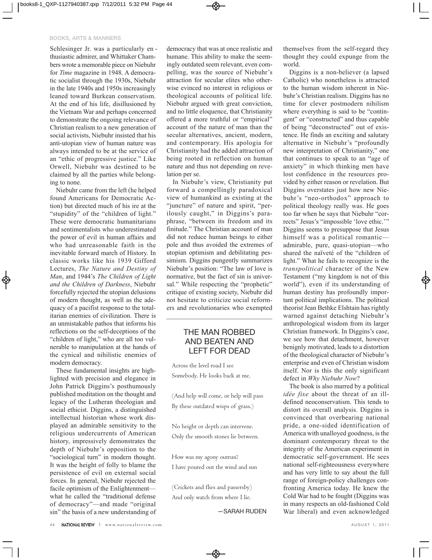#### **BOOKS, ARTS & MANNERS**

Schlesinger Jr. was a particularly en thusiastic admirer, and Whittaker Chambers wrote a memorable piece on Niebuhr for *Time* magazine in 1948. A democratic socialist through the 1930s, Niebuhr in the late 1940s and 1950s increasingly leaned toward Burkean conservatism. At the end of his life, disillusioned by the Vietnam War and perhaps concerned to demonstrate the ongoing relevance of Christian realism to a new generation of social activists, Niebuhr insisted that his anti-utopian view of human nature was always intended to be at the service of an "ethic of progressive justice." Like Orwell, Niebuhr was destined to be claimed by all the parties while belonging to none.

Niebuhr came from the left (he helped found Americans for Democratic Action) but directed much of his ire at the "stupidity" of the "children of light." These were democratic humanitarians and sentimentalists who underestimated the power of evil in human affairs and who had unreasonable faith in the inevitable forward march of History. In classic works like his 1939 Gifford Lectures, *The Nature and Destiny of Man*, and 1944's *The Children of Light and the Children of Darkness*, Niebuhr forcefully rejected the utopian delusions of modern thought, as well as the adequacy of a pacifist response to the totalitarian enemies of civilization. There is an unmistakable pathos that informs his reflections on the self-deceptions of the "children of light," who are all too vulnerable to manipulation at the hands of the cynical and nihilistic enemies of modern democracy.

These fundamental insights are highlighted with precision and elegance in John Patrick Diggins's posthumously published meditation on the thought and legacy of the Lutheran theologian and social ethicist. Diggins, a distinguished intellectual historian whose work displayed an admirable sensitivity to the religious undercurrents of American history, impressively demonstrates the depth of Niebuhr's opposition to the "sociological turn" in modern thought. It was the height of folly to blame the persistence of evil on external social forces. In general, Niebuhr rejected the facile optimism of the Enlightenment what he called the "traditional defense of democracy"—and made "original sin" the basis of a new understanding of

democracy that was at once realistic and humane. This ability to make the seemingly outdated seem relevant, even compelling, was the source of Niebuhr's attraction for secular elites who otherwise evinced no interest in religious or theological accounts of political life. Niebuhr argued with great conviction, and no little eloquence, that Christianity offered a more truthful or "empirical" account of the nature of man than the secular alternatives, ancient, modern, and contemporary. His apologia for Christianity had the added attraction of being rooted in reflection on human nature and thus not depending on revelation per se.

In Niebuhr's view, Christianity put forward a compellingly paradoxical view of humankind as existing at the "juncture" of nature and spirit, "perilously caught," in Diggins's paraphrase, "between its freedom and its finitude." The Christian account of man did not reduce human beings to either pole and thus avoided the extremes of utopian optimism and debilitating pessimism. Diggins pungently summarizes Niebuhr's position: "The law of love is normative, but the fact of sin is universal." While respecting the "prophetic" critique of existing society, Niebuhr did not hesitate to criticize social reformers and revolutionaries who exempted

### THE MAN ROBBED AND BEATEN AND LEFT FOR DEAD

Across the level road I see Somebody. He looks back at me.

(And help will come, or help will pass By these outdated wisps of grass.)

No height or depth can intervene. Only the smooth stones lie between.

How was my agony outrun?

I have poured out the wind and sun

(Crickets and flies and passersby) And only watch from where I lie.

—SARAH RUDEN

themselves from the self-regard they thought they could expunge from the world.

Diggins is a non-believer (a lapsed Catholic) who nonetheless is attracted to the human wisdom inherent in Niebuhr's Christian realism. Diggins has no time for clever postmodern nihilism where everything is said to be "contingent" or "constructed" and thus capable of being "deconstructed" out of existence. He finds an exciting and salutary alternative in Niebuhr's "profoundly new interpretation of Christianity," one that continues to speak to an "age of anxiety" in which thinking men have lost confidence in the resources provided by either reason or revelation. But Diggins overstates just how new Niebuhr 's "neo-orthodox" approach to political theology really was. He goes too far when he says that Niebuhr "corrects" Jesus's "impossible 'love ethic.'" Diggins seems to presuppose that Jesus himself was a political romantic admirable, pure, quasi-utopian—who shared the naïveté of the "children of light." What he fails to recognize is the *transpolitical* character of the New Testament ("my kingdom is not of this world"), even if its understanding of human destiny has profoundly important political implications. The political theorist Jean Bethke Elshtain has rightly warned against detaching Niebuhr's anthropological wisdom from its larger Christian framework. In Diggins's case, we see how that detachment, however benignly motivated, leads to a distortion of the theological character of Niebuhr's enterprise and even of Christian wisdom itself. Nor is this the only significant defect in *Why Niebuhr Now*?

The book is also marred by a political *idée fixe* about the threat of an illdefined neoconservatism. This tends to distort its overall analysis. Diggins is convinced that overbearing national pride, a one-sided identification of America with unalloyed goodness, is the dominant contemporary threat to the integrity of the American experiment in democratic self-government. He sees national self-righteousness everywhere and has very little to say about the full range of foreign-policy challenges confronting America today. He knew the Cold War had to be fought (Diggins was in many respects an old-fashioned Cold War liberal) and even acknowledged